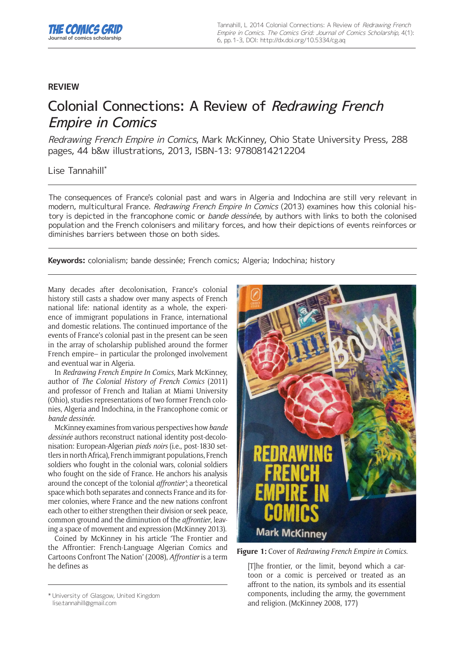## **REVIEW**

## Colonial Connections: A Review of Redrawing French Empire in Comics

Redrawing French Empire in Comics, Mark McKinney, Ohio State University Press, 288 pages, 44 b&w illustrations, 2013, ISBN-13: 9780814212204

## Lise Tannahill\*

The consequences of France's colonial past and wars in Algeria and Indochina are still very relevant in modern, multicultural France. Redrawing French Empire In Comics (2013) examines how this colonial history is depicted in the francophone comic or *bande dessinée*, by authors with links to both the colonised population and the French colonisers and military forces, and how their depictions of events reinforces or diminishes barriers between those on both sides.

**Keywords:** colonialism; bande dessinée; French comics; Algeria; Indochina; history

Many decades after decolonisation, France's colonial history still casts a shadow over many aspects of French national life: national identity as a whole, the experience of immigrant populations in France, international and domestic relations. The continued importance of the events of France's colonial past in the present can be seen in the array of scholarship published around the former French empire– in particular the prolonged involvement and eventual war in Algeria.

In *Redrawing French Empire In Comics,* Mark McKinney, author of *The Colonial History of French Comics* (2011) and professor of French and Italian at Miami University (Ohio), studies representations of two former French colonies, Algeria and Indochina, in the Francophone comic or *bande dessinée*.

McKinney examines from various perspectives how *bande dessinée* authors reconstruct national identity post-decolonisation: European-Algerian *pieds noirs* (i.e., post-1830 settlers in north Africa), French immigrant populations, French soldiers who fought in the colonial wars, colonial soldiers who fought on the side of France. He anchors his analysis around the concept of the 'colonial *affrontier'*; a theoretical space which both separates and connects France and its former colonies, where France and the new nations confront each other to either strengthen their division or seek peace, common ground and the diminution of the *affrontier*, leaving a space of movement and expression (McKinney 2013).

Coined by McKinney in his article 'The Frontier and the Affrontier: French-Language Algerian Comics and Cartoons Confront The Nation' (2008), *Affrontier* is a term he defines as **[T]he frontier, or the limit, beyond which a car-**



**Figure 1:** Cover of *Redrawing French Empire in Comics*.

toon or a comic is perceived or treated as an affront to the nation, its symbols and its essential components, including the army, the government and religion. (McKinney 2008, 177)

<sup>\*</sup> University of Glasgow, United Kingdom [lise.tannahill@gmail.com](mailto:lise.tannahill@gmail.com)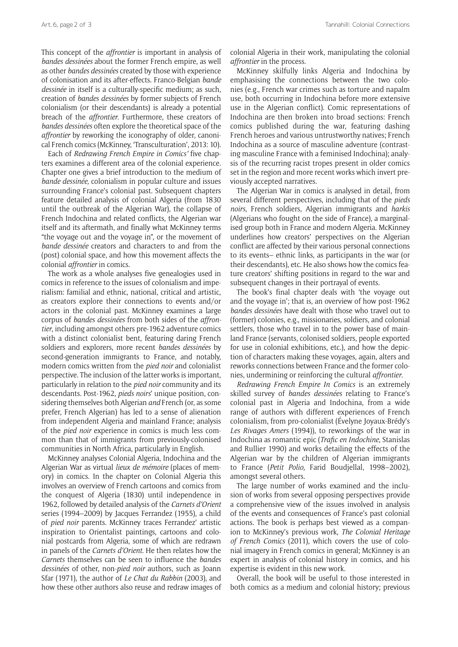This concept of the *affrontier* is important in analysis of *bandes dessinées* about the former French empire, as well as other *bandes dessinées* created by those with experience of colonisation and its after-effects. Franco-Belgian *bande dessinée* in itself is a culturally-specific medium; as such, creation of *bandes dessinées* by former subjects of French colonialism (or their descendants) is already a potential breach of the *affrontier.* Furthermore, these creators of *bandes dessinées* often explore the theoretical space of the *affrontier* by reworking the iconography of older, canonical French comics (McKinney, 'Transculturation', 2013: 10).

Each of *Redrawing French Empire in Comics'* five chapters examines a different area of the colonial experience. Chapter one gives a brief introduction to the medium of *bande dessinée,* colonialism in popular culture and issues surrounding France's colonial past. Subsequent chapters feature detailed analysis of colonial Algeria (from 1830 until the outbreak of the Algerian War), the collapse of French Indochina and related conflicts, the Algerian war itself and its aftermath, and finally what McKinney terms "the voyage out and the voyage in", or the movement of *bande dessinée* creators and characters to and from the (post) colonial space, and how this movement affects the colonial *affrontier* in comics.

The work as a whole analyses five genealogies used in comics in reference to the issues of colonialism and imperialism: familial and ethnic, national, critical and artistic, as creators explore their connections to events and/or actors in the colonial past. McKinney examines a large corpus of *bandes dessinées* from both sides of the *affrontier*, including amongst others pre-1962 adventure comics with a distinct colonialist bent, featuring daring French soldiers and explorers, more recent *bandes dessinées* by second-generation immigrants to France, and notably, modern comics written from the *pied noir* and colonialist perspective. The inclusion of the latter works is important, particularly in relation to the *pied noir* community and its descendants. Post-1962, *pieds noirs*' unique position, considering themselves both Algerian *and* French (or, as some prefer, French Algerian) has led to a sense of alienation from independent Algeria and mainland France; analysis of the *pied noir* experience in comics is much less common than that of immigrants from previously-colonised communities in North Africa, particularly in English.

McKinney analyses Colonial Algeria, Indochina and the Algerian War as virtual *lieux de mémoire* (places of memory) in comics. In the chapter on Colonial Algeria this involves an overview of French cartoons and comics from the conquest of Algeria (1830) until independence in 1962, followed by detailed analysis of the *Carnets d'Orient*  series (1994–2009) by Jacques Ferrandez (1955), a child of *pied noir* parents. McKinney traces Ferrandez' artistic inspiration to Orientalist paintings, cartoons and colonial postcards from Algeria, some of which are redrawn in panels of the *Carnets d'Orient*. He then relates how the *Carnets* themselves can be seen to influence the *bandes dessinées* of other, non-*pied noir* authors, such as Joann Sfar (1971), the author of *Le Chat du Rabbin* (2003), and how these other authors also reuse and redraw images of

colonial Algeria in their work, manipulating the colonial *affrontier* in the process.

McKinney skilfully links Algeria and Indochina by emphasising the connections between the two colonies (e.g., French war crimes such as torture and napalm use, both occurring in Indochina before more extensive use in the Algerian conflict). Comic representations of Indochina are then broken into broad sections: French comics published during the war, featuring dashing French heroes and various untrustworthy natives; French Indochina as a source of masculine adventure (contrasting masculine France with a feminised Indochina); analysis of the recurring racist tropes present in older comics set in the region and more recent works which invert previously accepted narratives.

The Algerian War in comics is analysed in detail, from several different perspectives, including that of the *pieds noirs*, French soldiers, Algerian immigrants and *harkis*  (Algerians who fought on the side of France), a marginalised group both in France and modern Algeria. McKinney underlines how creators' perspectives on the Algerian conflict are affected by their various personal connections to its events– ethnic links, as participants in the war (or their descendants), etc. He also shows how the comics feature creators' shifting positions in regard to the war and subsequent changes in their portrayal of events.

The book's final chapter deals with 'the voyage out and the voyage in'; that is, an overview of how post-1962 *bandes dessinées* have dealt with those who travel out to (former) colonies, e.g., missionaries, soldiers, and colonial settlers, those who travel in to the power base of mainland France (servants, colonised soldiers, people exported for use in colonial exhibitions, etc.), and how the depiction of characters making these voyages, again, alters and reworks connections between France and the former colonies, undermining or reinforcing the cultural *affrontier*.

*Redrawing French Empire In Comics* is an extremely skilled survey of *bandes dessinées* relating to France's colonial past in Algeria and Indochina, from a wide range of authors with different experiences of French colonialism, from pro-colonialist (Évelyne Joyaux-Brédy's *Les Rivages Amers* (1994)), to reworkings of the war in Indochina as romantic epic (*Trafic en Indochine,* Stanislas and Rullier 1990) and works detailing the effects of the Algerian war by the children of Algerian immigrants to France (*Petit Polio,* Farid Boudjellal, 1998–2002), amongst several others.

The large number of works examined and the inclusion of works from several opposing perspectives provide a comprehensive view of the issues involved in analysis of the events and consequences of France's past colonial actions. The book is perhaps best viewed as a companion to McKinney's previous work, *The Colonial Heritage of French Comics* (2011), which covers the use of colonial imagery in French comics in general; McKinney is an expert in analysis of colonial history in comics, and his expertise is evident in this new work.

Overall, the book will be useful to those interested in both comics as a medium and colonial history; previous